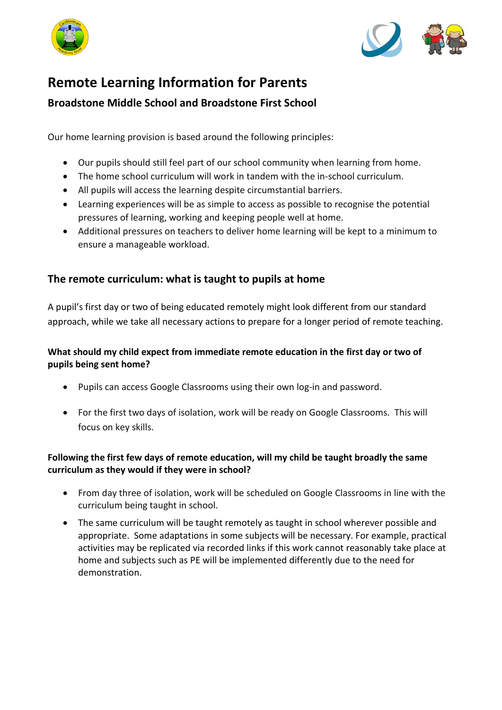



# **Remote Learning Information for Parents**

# **Broadstone Middle School and Broadstone First School**

Our home learning provision is based around the following principles:

- Our pupils should still feel part of our school community when learning from home.
- The home school curriculum will work in tandem with the in-school curriculum.
- All pupils will access the learning despite circumstantial barriers.
- Learning experiences will be as simple to access as possible to recognise the potential pressures of learning, working and keeping people well at home.
- Additional pressures on teachers to deliver home learning will be kept to a minimum to ensure a manageable workload.

# **The remote curriculum: what is taught to pupils at home**

A pupil's first day or two of being educated remotely might look different from our standard approach, while we take all necessary actions to prepare for a longer period of remote teaching.

# **What should my child expect from immediate remote education in the first day or two of pupils being sent home?**

- Pupils can access Google Classrooms using their own log-in and password.
- For the first two days of isolation, work will be ready on Google Classrooms. This will focus on key skills.

# **Following the first few days of remote education, will my child be taught broadly the same curriculum as they would if they were in school?**

- From day three of isolation, work will be scheduled on Google Classrooms in line with the curriculum being taught in school.
- The same curriculum will be taught remotely as taught in school wherever possible and appropriate. Some adaptations in some subjects will be necessary. For example, practical activities may be replicated via recorded links if this work cannot reasonably take place at home and subjects such as PE will be implemented differently due to the need for demonstration.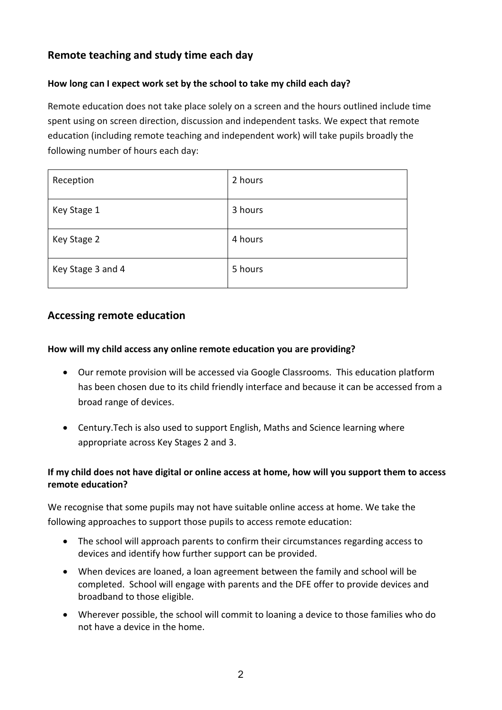# **Remote teaching and study time each day**

## **How long can I expect work set by the school to take my child each day?**

Remote education does not take place solely on a screen and the hours outlined include time spent using on screen direction, discussion and independent tasks. We expect that remote education (including remote teaching and independent work) will take pupils broadly the following number of hours each day:

| Reception         | 2 hours |
|-------------------|---------|
| Key Stage 1       | 3 hours |
| Key Stage 2       | 4 hours |
| Key Stage 3 and 4 | 5 hours |

# **Accessing remote education**

#### **How will my child access any online remote education you are providing?**

- Our remote provision will be accessed via Google Classrooms. This education platform has been chosen due to its child friendly interface and because it can be accessed from a broad range of devices.
- Century.Tech is also used to support English, Maths and Science learning where appropriate across Key Stages 2 and 3.

## **If my child does not have digital or online access at home, how will you support them to access remote education?**

We recognise that some pupils may not have suitable online access at home. We take the following approaches to support those pupils to access remote education:

- The school will approach parents to confirm their circumstances regarding access to devices and identify how further support can be provided.
- When devices are loaned, a loan agreement between the family and school will be completed. School will engage with parents and the DFE offer to provide devices and broadband to those eligible.
- Wherever possible, the school will commit to loaning a device to those families who do not have a device in the home.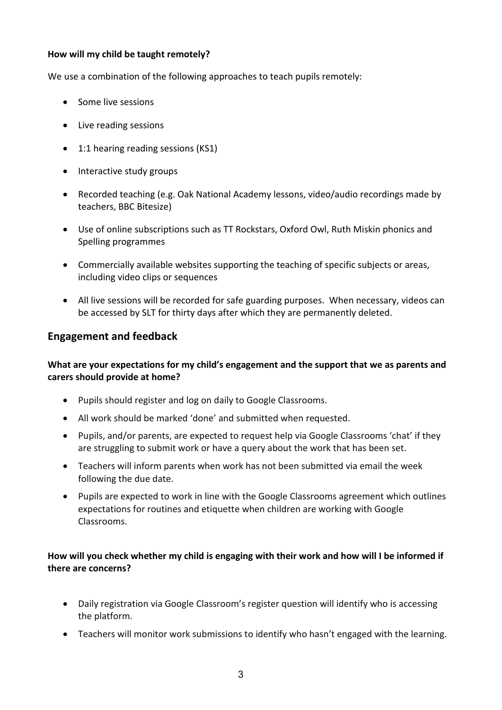#### **How will my child be taught remotely?**

We use a combination of the following approaches to teach pupils remotely:

- Some live sessions
- Live reading sessions
- 1:1 hearing reading sessions (KS1)
- Interactive study groups
- Recorded teaching (e.g. Oak National Academy lessons, video/audio recordings made by teachers, BBC Bitesize)
- Use of online subscriptions such as TT Rockstars, Oxford Owl, Ruth Miskin phonics and Spelling programmes
- Commercially available websites supporting the teaching of specific subjects or areas, including video clips or sequences
- All live sessions will be recorded for safe guarding purposes. When necessary, videos can be accessed by SLT for thirty days after which they are permanently deleted.

# **Engagement and feedback**

## **What are your expectations for my child's engagement and the support that we as parents and carers should provide at home?**

- Pupils should register and log on daily to Google Classrooms.
- All work should be marked 'done' and submitted when requested.
- Pupils, and/or parents, are expected to request help via Google Classrooms 'chat' if they are struggling to submit work or have a query about the work that has been set.
- Teachers will inform parents when work has not been submitted via email the week following the due date.
- Pupils are expected to work in line with the Google Classrooms agreement which outlines expectations for routines and etiquette when children are working with Google Classrooms.

#### **How will you check whether my child is engaging with their work and how will I be informed if there are concerns?**

- Daily registration via Google Classroom's register question will identify who is accessing the platform.
- Teachers will monitor work submissions to identify who hasn't engaged with the learning.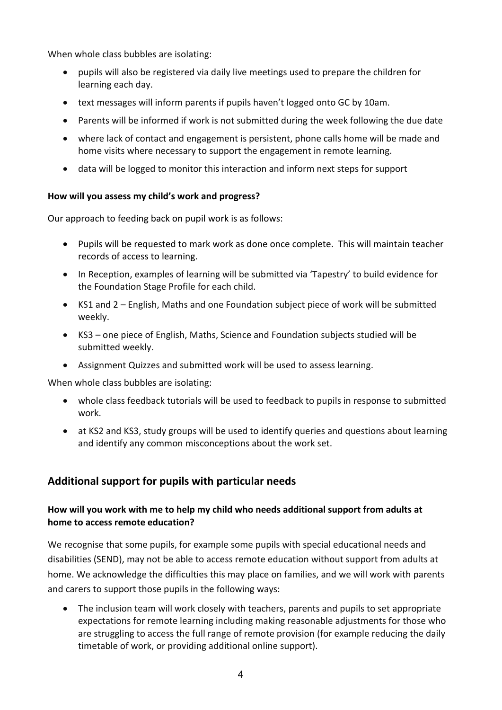When whole class bubbles are isolating:

- pupils will also be registered via daily live meetings used to prepare the children for learning each day.
- text messages will inform parents if pupils haven't logged onto GC by 10am.
- Parents will be informed if work is not submitted during the week following the due date
- where lack of contact and engagement is persistent, phone calls home will be made and home visits where necessary to support the engagement in remote learning.
- data will be logged to monitor this interaction and inform next steps for support

#### **How will you assess my child's work and progress?**

Our approach to feeding back on pupil work is as follows:

- Pupils will be requested to mark work as done once complete. This will maintain teacher records of access to learning.
- In Reception, examples of learning will be submitted via 'Tapestry' to build evidence for the Foundation Stage Profile for each child.
- KS1 and 2 English, Maths and one Foundation subject piece of work will be submitted weekly.
- KS3 one piece of English, Maths, Science and Foundation subjects studied will be submitted weekly.
- Assignment Quizzes and submitted work will be used to assess learning.

When whole class bubbles are isolating:

- whole class feedback tutorials will be used to feedback to pupils in response to submitted work.
- at KS2 and KS3, study groups will be used to identify queries and questions about learning and identify any common misconceptions about the work set.

# **Additional support for pupils with particular needs**

## **How will you work with me to help my child who needs additional support from adults at home to access remote education?**

We recognise that some pupils, for example some pupils with special educational needs and disabilities (SEND), may not be able to access remote education without support from adults at home. We acknowledge the difficulties this may place on families, and we will work with parents and carers to support those pupils in the following ways:

• The inclusion team will work closely with teachers, parents and pupils to set appropriate expectations for remote learning including making reasonable adjustments for those who are struggling to access the full range of remote provision (for example reducing the daily timetable of work, or providing additional online support).